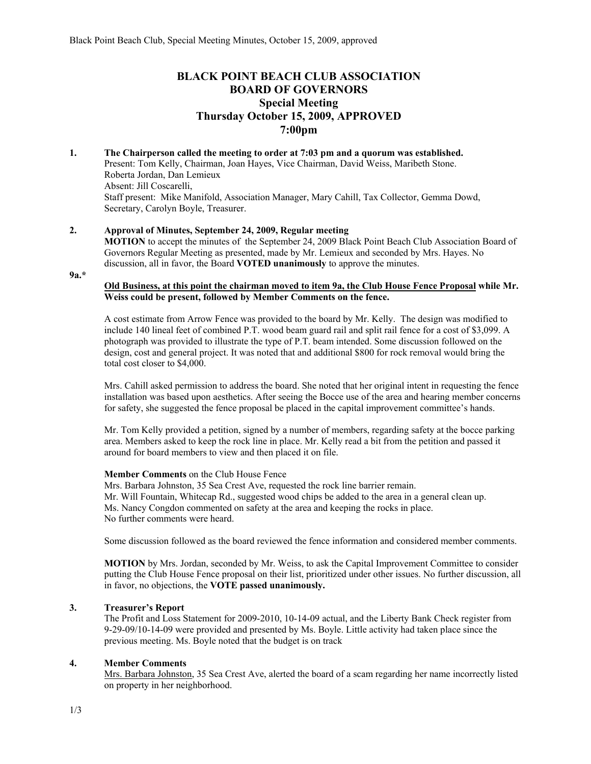# **BLACK POINT BEACH CLUB ASSOCIATION BOARD OF GOVERNORS Special Meeting Thursday October 15, 2009, APPROVED 7:00pm**

**1. The Chairperson called the meeting to order at 7:03 pm and a quorum was established.**  Present: Tom Kelly, Chairman, Joan Hayes, Vice Chairman, David Weiss, Maribeth Stone. Roberta Jordan, Dan Lemieux Absent: Jill Coscarelli, Staff present: Mike Manifold, Association Manager, Mary Cahill, Tax Collector, Gemma Dowd, Secretary, Carolyn Boyle, Treasurer.

## **2. Approval of Minutes, September 24, 2009, Regular meeting**

**MOTION** to accept the minutes of the September 24, 2009 Black Point Beach Club Association Board of Governors Regular Meeting as presented, made by Mr. Lemieux and seconded by Mrs. Hayes. No discussion, all in favor, the Board **VOTED unanimously** to approve the minutes.

**9a.\*** 

#### **Old Business, at this point the chairman moved to item 9a, the Club House Fence Proposal while Mr. Weiss could be present, followed by Member Comments on the fence.**

A cost estimate from Arrow Fence was provided to the board by Mr. Kelly. The design was modified to include 140 lineal feet of combined P.T. wood beam guard rail and split rail fence for a cost of \$3,099. A photograph was provided to illustrate the type of P.T. beam intended. Some discussion followed on the design, cost and general project. It was noted that and additional \$800 for rock removal would bring the total cost closer to \$4,000.

Mrs. Cahill asked permission to address the board. She noted that her original intent in requesting the fence installation was based upon aesthetics. After seeing the Bocce use of the area and hearing member concerns for safety, she suggested the fence proposal be placed in the capital improvement committee's hands.

Mr. Tom Kelly provided a petition, signed by a number of members, regarding safety at the bocce parking area. Members asked to keep the rock line in place. Mr. Kelly read a bit from the petition and passed it around for board members to view and then placed it on file.

## **Member Comments** on the Club House Fence

Mrs. Barbara Johnston, 35 Sea Crest Ave, requested the rock line barrier remain. Mr. Will Fountain, Whitecap Rd., suggested wood chips be added to the area in a general clean up. Ms. Nancy Congdon commented on safety at the area and keeping the rocks in place. No further comments were heard.

Some discussion followed as the board reviewed the fence information and considered member comments.

**MOTION** by Mrs. Jordan, seconded by Mr. Weiss, to ask the Capital Improvement Committee to consider putting the Club House Fence proposal on their list, prioritized under other issues. No further discussion, all in favor, no objections, the **VOTE passed unanimously.**

# **3. Treasurer's Report**

The Profit and Loss Statement for 2009-2010, 10-14-09 actual, and the Liberty Bank Check register from 9-29-09/10-14-09 were provided and presented by Ms. Boyle. Little activity had taken place since the previous meeting. Ms. Boyle noted that the budget is on track

## **4. Member Comments**

Mrs. Barbara Johnston, 35 Sea Crest Ave, alerted the board of a scam regarding her name incorrectly listed on property in her neighborhood.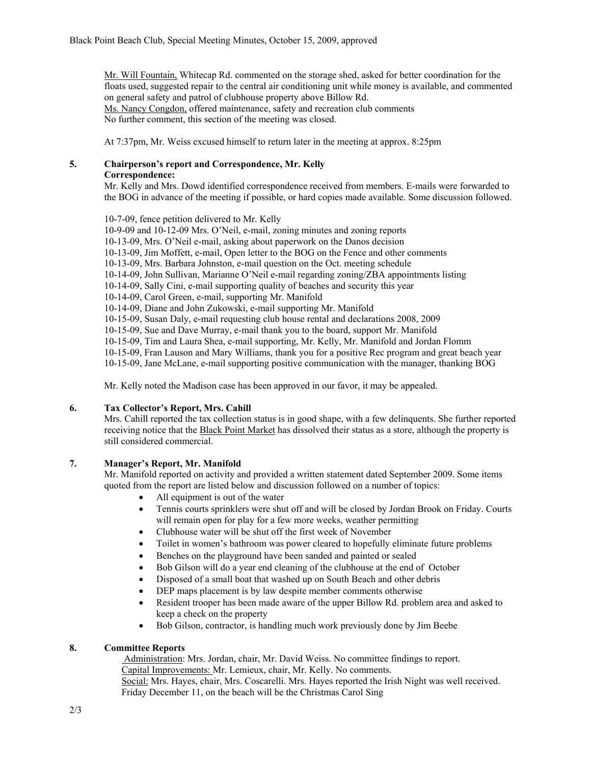Mr. Will Fountain, Whitecap Rd. commented on the storage shed, asked for better coordination for the floats used, suggested repair to the central air conditioning unit while money is available, and commented on general safety and patrol of clubhouse property above Billow Rd. Ms. Nancy Congdon, offered maintenance, safety and recreation club comments No further comment, this section of the meeting was closed.

At 7:37pm, Mr. Weiss excused himself to return later in the meeting at approx. 8:25pm

# **5. Chairperson's report and Correspondence, Mr. Kelly**

# **Correspondence:**

Mr. Kelly and Mrs. Dowd identified correspondence received from members. E-mails were forwarded to the BOG in advance of the meeting if possible, or hard copies made available. Some discussion followed.

10-7-09, fence petition delivered to Mr. Kelly 10-9-09 and 10-12-09 Mrs. O'Neil, e-mail, zoning minutes and zoning reports 10-13-09, Mrs. O'Neil e-mail, asking about paperwork on the Danos decision 10-13-09, Jim Moffett, e-mail, Open letter to the BOG on the Fence and other comments 10-13-09, Mrs. Barbara Johnston, e-mail question on the Oct. meeting schedule 10-14-09, John Sullivan, Marianne O'Neil e-mail regarding zoning/ZBA appointments listing 10-14-09, Sally Cini, e-mail supporting quality of beaches and security this year 10-14-09, Carol Green, e-mail, supporting Mr. Manifold 10-14-09, Diane and John Zukowski, e-mail supporting Mr. Manifold 10-15-09, Susan Daly, e-mail requesting club house rental and declarations 2008, 2009 10-15-09, Sue and Dave Murray, e-mail thank you to the board, support Mr. Manifold 10-15-09, Tim and Laura Shea, e-mail supporting, Mr. Kelly, Mr. Manifold and Jordan Flomm 10-15-09, Fran Lauson and Mary Williams, thank you for a positive Rec program and great beach year 10-15-09, Jane McLane, e-mail supporting positive communication with the manager, thanking BOG

Mr. Kelly noted the Madison case has been approved in our favor, it may be appealed.

## **6. Tax Collector's Report, Mrs. Cahill**

Mrs. Cahill reported the tax collection status is in good shape, with a few delinquents. She further reported receiving notice that the Black Point Market has dissolved their status as a store, although the property is still considered commercial.

## **7. Manager's Report, Mr. Manifold**

Mr. Manifold reported on activity and provided a written statement dated September 2009. Some items quoted from the report are listed below and discussion followed on a number of topics:

- All equipment is out of the water
- Tennis courts sprinklers were shut off and will be closed by Jordan Brook on Friday. Courts will remain open for play for a few more weeks, weather permitting
- Clubhouse water will be shut off the first week of November
- Toilet in women's bathroom was power cleared to hopefully eliminate future problems
- Benches on the playground have been sanded and painted or sealed
- Bob Gilson will do a year end cleaning of the clubhouse at the end of October
- Disposed of a small boat that washed up on South Beach and other debris
- DEP maps placement is by law despite member comments otherwise
- Resident trooper has been made aware of the upper Billow Rd. problem area and asked to keep a check on the property
- Bob Gilson, contractor, is handling much work previously done by Jim Beebe

## **8. Committee Reports**

 Administration: Mrs. Jordan, chair, Mr. David Weiss. No committee findings to report. Capital Improvements: Mr. Lemieux, chair, Mr. Kelly. No comments. Social: Mrs. Hayes, chair, Mrs. Coscarelli. Mrs. Hayes reported the Irish Night was well received. Friday December 11, on the beach will be the Christmas Carol Sing